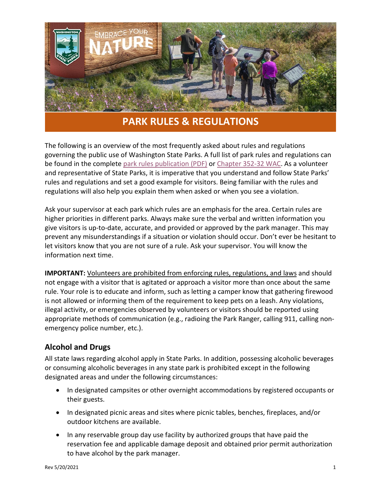

# **PARK RULES & REGULATIONS**

The following is an overview of the most frequently asked about rules and regulations governing the public use of Washington State Parks. A full list of park rules and regulations can be found in the complete [park rules publication \(PDF\)](https://parks.state.wa.us/DocumentCenter/View/8840/Park-Rules-2019?bidId=) or [Chapter 352-32 WAC.](https://apps.leg.wa.gov/WAC/default.aspx?cite=352-32) As a volunteer and representative of State Parks, it is imperative that you understand and follow State Parks' rules and regulations and set a good example for visitors. Being familiar with the rules and regulations will also help you explain them when asked or when you see a violation.

Ask your supervisor at each park which rules are an emphasis for the area. Certain rules are higher priorities in different parks. Always make sure the verbal and written information you give visitors is up-to-date, accurate, and provided or approved by the park manager. This may prevent any misunderstandings if a situation or violation should occur. Don't ever be hesitant to let visitors know that you are not sure of a rule. Ask your supervisor. You will know the information next time.

**IMPORTANT:** Volunteers are prohibited from enforcing rules, regulations, and laws and should not engage with a visitor that is agitated or approach a visitor more than once about the same rule. Your role is to educate and inform, such as letting a camper know that gathering firewood is not allowed or informing them of the requirement to keep pets on a leash. Any violations, illegal activity, or emergencies observed by volunteers or visitors should be reported using appropriate methods of communication (e.g., radioing the Park Ranger, calling 911, calling nonemergency police number, etc.).

# **Alcohol and Drugs**

All state laws regarding alcohol apply in State Parks. In addition, possessing alcoholic beverages or consuming alcoholic beverages in any state park is prohibited except in the following designated areas and under the following circumstances:

- In designated campsites or other overnight accommodations by registered occupants or their guests.
- In designated picnic areas and sites where picnic tables, benches, fireplaces, and/or outdoor kitchens are available.
- In any reservable group day use facility by authorized groups that have paid the reservation fee and applicable damage deposit and obtained prior permit authorization to have alcohol by the park manager.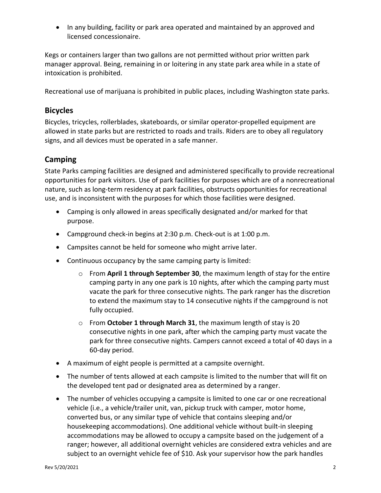• In any building, facility or park area operated and maintained by an approved and licensed concessionaire.

Kegs or containers larger than two gallons are not permitted without prior written park manager approval. Being, remaining in or loitering in any state park area while in a state of intoxication is prohibited.

Recreational use of marijuana is prohibited in public places, including Washington state parks.

## **Bicycles**

Bicycles, tricycles, rollerblades, skateboards, or similar operator-propelled equipment are allowed in state parks but are restricted to roads and trails. Riders are to obey all regulatory signs, and all devices must be operated in a safe manner.

# **Camping**

State Parks camping facilities are designed and administered specifically to provide recreational opportunities for park visitors. Use of park facilities for purposes which are of a nonrecreational nature, such as long-term residency at park facilities, obstructs opportunities for recreational use, and is inconsistent with the purposes for which those facilities were designed.

- Camping is only allowed in areas specifically designated and/or marked for that purpose.
- Campground check-in begins at 2:30 p.m. Check-out is at 1:00 p.m.
- Campsites cannot be held for someone who might arrive later.
- Continuous occupancy by the same camping party is limited:
	- o From **April 1 through September 30**, the maximum length of stay for the entire camping party in any one park is 10 nights, after which the camping party must vacate the park for three consecutive nights. The park ranger has the discretion to extend the maximum stay to 14 consecutive nights if the campground is not fully occupied.
	- o From **October 1 through March 31**, the maximum length of stay is 20 consecutive nights in one park, after which the camping party must vacate the park for three consecutive nights. Campers cannot exceed a total of 40 days in a 60-day period.
- A maximum of eight people is permitted at a campsite overnight.
- The number of tents allowed at each campsite is limited to the number that will fit on the developed tent pad or designated area as determined by a ranger.
- The number of vehicles occupying a campsite is limited to one car or one recreational vehicle (i.e., a vehicle/trailer unit, van, pickup truck with camper, motor home, converted bus, or any similar type of vehicle that contains sleeping and/or housekeeping accommodations). One additional vehicle without built-in sleeping accommodations may be allowed to occupy a campsite based on the judgement of a ranger; however, all additional overnight vehicles are considered extra vehicles and are subject to an overnight vehicle fee of \$10. Ask your supervisor how the park handles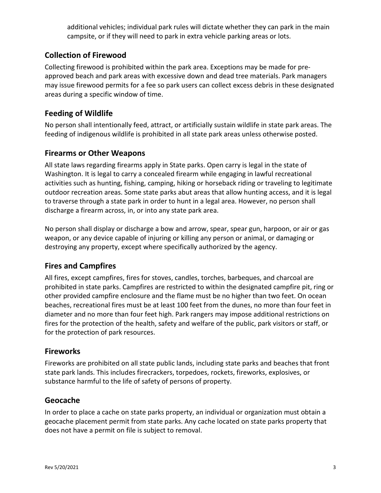additional vehicles; individual park rules will dictate whether they can park in the main campsite, or if they will need to park in extra vehicle parking areas or lots.

# **Collection of Firewood**

Collecting firewood is prohibited within the park area. Exceptions may be made for preapproved beach and park areas with excessive down and dead tree materials. Park managers may issue firewood permits for a fee so park users can collect excess debris in these designated areas during a specific window of time.

## **Feeding of Wildlife**

No person shall intentionally feed, attract, or artificially sustain wildlife in state park areas. The feeding of indigenous wildlife is prohibited in all state park areas unless otherwise posted.

## **Firearms or Other Weapons**

All state laws regarding firearms apply in State parks. Open carry is legal in the state of Washington. It is legal to carry a concealed firearm while engaging in lawful recreational activities such as hunting, fishing, camping, hiking or horseback riding or traveling to legitimate outdoor recreation areas. Some state parks abut areas that allow hunting access, and it is legal to traverse through a state park in order to hunt in a legal area. However, no person shall discharge a firearm across, in, or into any state park area.

No person shall display or discharge a bow and arrow, spear, spear gun, harpoon, or air or gas weapon, or any device capable of injuring or killing any person or animal, or damaging or destroying any property, except where specifically authorized by the agency.

# **Fires and Campfires**

All fires, except campfires, fires for stoves, candles, torches, barbeques, and charcoal are prohibited in state parks. Campfires are restricted to within the designated campfire pit, ring or other provided campfire enclosure and the flame must be no higher than two feet. On ocean beaches, recreational fires must be at least 100 feet from the dunes, no more than four feet in diameter and no more than four feet high. Park rangers may impose additional restrictions on fires for the protection of the health, safety and welfare of the public, park visitors or staff, or for the protection of park resources.

## **Fireworks**

Fireworks are prohibited on all state public lands, including state parks and beaches that front state park lands. This includes firecrackers, torpedoes, rockets, fireworks, explosives, or substance harmful to the life of safety of persons of property.

## **Geocache**

In order to place a cache on state parks property, an individual or organization must obtain a geocache placement permit from state parks. Any cache located on state parks property that does not have a permit on file is subject to removal.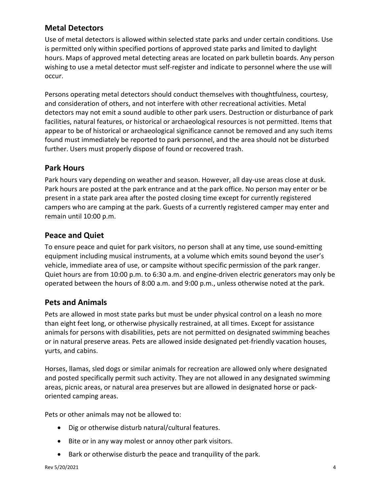# **Metal Detectors**

Use of metal detectors is allowed within selected state parks and under certain conditions. Use is permitted only within specified portions of approved state parks and limited to daylight hours. Maps of approved metal detecting areas are located on park bulletin boards. Any person wishing to use a metal detector must self-register and indicate to personnel where the use will occur.

Persons operating metal detectors should conduct themselves with thoughtfulness, courtesy, and consideration of others, and not interfere with other recreational activities. Metal detectors may not emit a sound audible to other park users. Destruction or disturbance of park facilities, natural features, or historical or archaeological resources is not permitted. Items that appear to be of historical or archaeological significance cannot be removed and any such items found must immediately be reported to park personnel, and the area should not be disturbed further. Users must properly dispose of found or recovered trash.

## **Park Hours**

Park hours vary depending on weather and season. However, all day-use areas close at dusk. Park hours are posted at the park entrance and at the park office. No person may enter or be present in a state park area after the posted closing time except for currently registered campers who are camping at the park. Guests of a currently registered camper may enter and remain until 10:00 p.m.

## **Peace and Quiet**

To ensure peace and quiet for park visitors, no person shall at any time, use sound-emitting equipment including musical instruments, at a volume which emits sound beyond the user's vehicle, immediate area of use, or campsite without specific permission of the park ranger. Quiet hours are from 10:00 p.m. to 6:30 a.m. and engine-driven electric generators may only be operated between the hours of 8:00 a.m. and 9:00 p.m., unless otherwise noted at the park.

# **Pets and Animals**

Pets are allowed in most state parks but must be under physical control on a leash no more than eight feet long, or otherwise physically restrained, at all times. Except for assistance animals for persons with disabilities, pets are not permitted on designated swimming beaches or in natural preserve areas. Pets are allowed inside designated pet-friendly vacation houses, yurts, and cabins.

Horses, llamas, sled dogs or similar animals for recreation are allowed only where designated and posted specifically permit such activity. They are not allowed in any designated swimming areas, picnic areas, or natural area preserves but are allowed in designated horse or packoriented camping areas.

Pets or other animals may not be allowed to:

- Dig or otherwise disturb natural/cultural features.
- Bite or in any way molest or annoy other park visitors.
- Bark or otherwise disturb the peace and tranquility of the park.